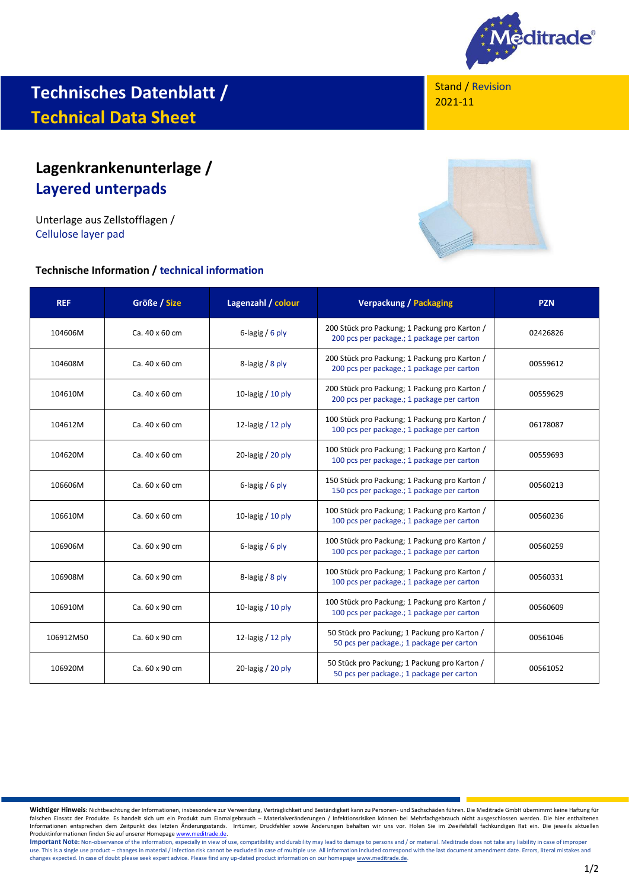

# **Technisches Datenblatt / Technical Data Sheet**

# **Lagenkrankenunterlage / Layered unterpads**

Unterlage aus Zellstofflagen / Cellulose layer pad

#### **Technische Information / technical information**





| <b>REF</b> | Größe / Size   | Lagenzahl / colour  | <b>Verpackung / Packaging</b>                                                               | <b>PZN</b> |
|------------|----------------|---------------------|---------------------------------------------------------------------------------------------|------------|
| 104606M    | Ca. 40 x 60 cm | 6-lagig $/6$ ply    | 200 Stück pro Packung; 1 Packung pro Karton /<br>200 pcs per package.; 1 package per carton | 02426826   |
| 104608M    | Ca. 40 x 60 cm | 8-lagig / 8 ply     | 200 Stück pro Packung; 1 Packung pro Karton /<br>200 pcs per package.; 1 package per carton | 00559612   |
| 104610M    | Ca. 40 x 60 cm | 10-lagig $/$ 10 ply | 200 Stück pro Packung; 1 Packung pro Karton /<br>200 pcs per package.; 1 package per carton | 00559629   |
| 104612M    | Ca. 40 x 60 cm | 12-lagig $/$ 12 ply | 100 Stück pro Packung; 1 Packung pro Karton /<br>100 pcs per package.; 1 package per carton | 06178087   |
| 104620M    | Ca. 40 x 60 cm | 20-lagig $/$ 20 ply | 100 Stück pro Packung; 1 Packung pro Karton /<br>100 pcs per package.; 1 package per carton | 00559693   |
| 106606M    | Ca. 60 x 60 cm | 6-lagig $/6$ ply    | 150 Stück pro Packung; 1 Packung pro Karton /<br>150 pcs per package.; 1 package per carton | 00560213   |
| 106610M    | Ca. 60 x 60 cm | 10-lagig $/$ 10 ply | 100 Stück pro Packung; 1 Packung pro Karton /<br>100 pcs per package.; 1 package per carton | 00560236   |
| 106906M    | Ca. 60 x 90 cm | 6-lagig / 6 ply     | 100 Stück pro Packung; 1 Packung pro Karton /<br>100 pcs per package.; 1 package per carton | 00560259   |
| 106908M    | Ca. 60 x 90 cm | 8-lagig / 8 ply     | 100 Stück pro Packung; 1 Packung pro Karton /<br>100 pcs per package.; 1 package per carton | 00560331   |
| 106910M    | Ca. 60 x 90 cm | 10-lagig $/$ 10 ply | 100 Stück pro Packung; 1 Packung pro Karton /<br>100 pcs per package.; 1 package per carton | 00560609   |
| 106912M50  | Ca. 60 x 90 cm | 12-lagig $/$ 12 ply | 50 Stück pro Packung; 1 Packung pro Karton /<br>50 pcs per package.; 1 package per carton   | 00561046   |
| 106920M    | Ca. 60 x 90 cm | 20-lagig $/$ 20 ply | 50 Stück pro Packung; 1 Packung pro Karton /<br>50 pcs per package.; 1 package per carton   | 00561052   |

Wichtiger Hinweis: Nichtbeachtung der Informationen, insbesondere zur Verwendung, Verträglichkeit und Beständigkeit kann zu Personen- und Sachschäden führen. Die Meditrade GmbH übernimmt keine Haftung für<br>falschen Einsatz Informationen entsprechen dem Zeitpunkt des letzten Änderungsstands. Irrtümer, Druckfehler sowie Änderungen behalten wir uns vor. Holen Sie im Zweifelsfall fachkundigen Rat ein. Die jeweils aktuellen Produktinformationen finden Sie auf unserer Homepag[e www.meditrade.de.](http://www.meditrade.de/)

Important Note: Non-observance of the information, especially in view of use, compatibility and durability may lead to damage to persons and / or material. Meditrade does not take any liability in case of improper use. This is a single use product – changes in material / infection risk cannot be excluded in case of multiple use. All information included correspond with the last document amendment date. Errors, literal mistakes and w changes expected. In case of doubt please seek expert advice. Please find any up-dated product information on our homepag[e www.meditrade.de.](http://www.meditrade.de/)